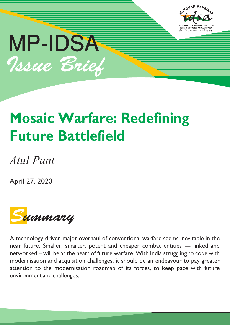



# **Mosaic Warfare: Redefining Future Battlefield**

## *Atul Pant*

April 27, 2020



A technology-driven major overhaul of conventional warfare seems inevitable in the near future. Smaller, smarter, potent and cheaper combat entities — linked and networked – will be at the heart of future warfare. With India struggling to cope with modernisation and acquisition challenges, it should be an endeavour to pay greater attention to the modernisation roadmap of its forces, to keep pace with future environment and challenges.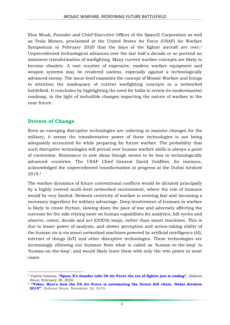Elon Musk, Founder and Chief Executive Officer of the SpaceX Corporation as well as Tesla Motors, proclaimed at the United States Air Force (USAF) Air Warfare Symposium in February 2020 that the days of the fighter aircraft are over.<sup>1</sup> Unprecedented technological advances over the last half a decade or so portend an imminent transformation of warfighting. Many current warfare concepts are likely to become obsolete. A vast number of expensive, modern warfare equipment and weapon systems may be rendered useless, especially against a technologically advanced enemy. The issue brief examines the concept of Mosaic Warfare and brings to attention the inadequacy of current warfighting concepts in a networked battlefield. It concludes by highlighting the need for India to review its modernisation roadmap, in the light of ineludible changes impacting the nature of warfare in the near future.

#### **Drivers of Change**

Even as emerging disruptive technologies are ushering in massive changes for the military, it seems the transformative power of these technologies is not being adequately accounted for while preparing for future warfare. The probability that such disruptive technologies will prevail over human warfare skills is always a point of contention. Resistance to new ideas though seems to be less in technologically advanced countries. The USAF Chief General David Goldfein, for instance, acknowledged the unprecedented transformation in progress at the Dubai Airshow 2019.<sup>2</sup>

The warfare dynamics of future conventional conflicts would be dictated principally by a highly evolved multi-level networked environment, where the role of humans would be very limited. Network centricity of warfare is evolving fast and becoming a necessary ingredient for military advantage. Deep involvement of humans in warfare is likely to create friction, slowing down the pace of war and adversely affecting the outcome for the side relying more on human capabilities for analytics, kill cycles and observe, orient, decide and act (OODA) loops, rather than smart machines. This is due to lesser power of analysis, and slower perception and action-taking ability of the human vis-à-vis smart networked machines powered by artificial intelligence (AI), internet of things (IoT) and other disruptive technologies. These technologies are increasingly elbowing out humans from what is called as 'human-in-the-loop' to 'human-on-the-loop', and would likely leave them with only the veto power in most cases.

**<sup>.</sup>** <sup>1</sup> Valerie Insinna, **["Space X's founder tells US Air Force the era of fighter jets is ending"](https://www.defensenews.com/digital-show-dailies/air-warfare-symposium/2020/02/28/spacex-founder-tells-the-air-force-the-era-of-fighter-jets-is-ending/)**, *Defense News*, February 28, 2020.

<sup>2</sup> **["Video: Here's how the US Air Force is automating the future kill chain. Dubai Airshow](https://www.defensenews.com/video/2019/11/16/heres-how-the-us-air-force-is-automating-the-future-kill-chain-dubai-airshow-2019/)  [2019"](https://www.defensenews.com/video/2019/11/16/heres-how-the-us-air-force-is-automating-the-future-kill-chain-dubai-airshow-2019/)**, *Defense News*, November 16, 2019.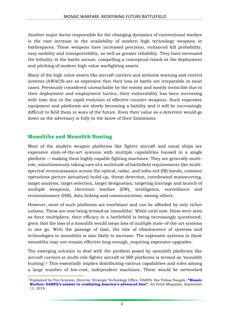Another major factor responsible for the changing dynamics of conventional warfare is the vast increase in the availability of modern high technology weapons in battlespaces. These weapons have increased precision, enhanced kill probability, easy mobility and transportability, as well as greater reliability. They have increased the lethality in the battle arenas, compelling a conceptual relook at the deployment and pitching of modern high value warfighting assets.

Many of the high value assets like aircraft carriers and airborne warning and control systems (AWACS) are so expensive that their loss in battle are irreparable in most cases. Previously considered unreachable by the enemy and mostly invincible due to their deployment and employment tactics, their vulnerability has been increasing with time due to the rapid evolution of effective counter weapons. Such expensive equipment and platforms are slowly becoming a liability and it will be increasingly difficult to field them in wars of the future. Even their value as a deterrent would go down as the adversary is fully in the know of their limitations.

#### **Monoliths and Monolith Busting**

Most of the modern weapon platforms like fighter aircraft and naval ships are expensive state-of-the-art systems with multiple capabilities housed in a single platform — making them highly capable fighting machines. They are generally multirole, simultaneously taking care of a multitude of battlefield requirements like multispectral reconnaissance across the optical, radar, and infra-red (IR) bands, common operations picture (situation) build-up, threat detection, coordinated manoeuvring, target analysis, target selection, target designation, targeting (carriage and launch of multiple weapons), electronic warfare (EW), intelligence, surveillance and reconnaissance (ISR), data linking and communication, among others.

However, most of such platforms are exorbitant and can be afforded by only richer nations. These are now being termed as 'monoliths'. While until now, these were seen as force multipliers, their efficacy in a battlefield is being increasingly questioned, given that the loss of a monolith would mean loss of multiple state-of-the-art systems in one go. With the passage of time, the rate of obsolescence of systems and technologies in monoliths is also likely to increase. The expensive systems in these monoliths may not remain effective long enough, requiring expensive upgrades.

The emerging solution to deal with the problem posed by monolith platforms like aircraft carriers or multi-role fighter aircraft or ISR platforms is termed as 'monolith busting'.<sup>3</sup> This essentially implies distributing various capabilities and roles among a large number of low-cost, independent machines. These would be networked

**<sup>.</sup>** <sup>3</sup> Explained by Tim Grayson, Director, Strategic Technology Office, DARPA. See Tobias Naegele, **["Mosaic](https://www.airforcemag.com/Mosaic-Warfare-DARPAs-Answer-to-Combating-Americas-Advanced-Foes/)  Warfare: [DARPA's answer to combating America's advanced foes"](https://www.airforcemag.com/Mosaic-Warfare-DARPAs-Answer-to-Combating-Americas-Advanced-Foes/)**, *Air Force Magazine*, September 11, 2019.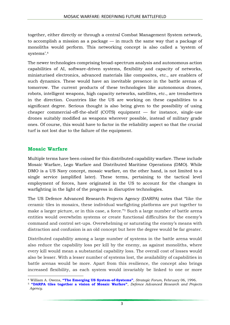together, either directly or through a central Combat Management System network, to accomplish a mission as a package — in much the same way that a package of monoliths would perform. This networking concept is also called a 'system of systems'.<sup>4</sup>

The newer technologies comprising broad-spectrum analysis and autonomous action capabilities of AI, software-driven systems, flexibility and capacity of networks, miniaturised electronics, advanced materials like composites, etc., are enablers of such dynamics. These would have an inevitable presence in the battle arenas of tomorrow. The current products of these technologies like autonomous drones, robots, intelligent weapons, high capacity networks, satellites, etc., are trendsetters in the direction. Countries like the US are working on these capabilities to a significant degree. Serious thought is also being given to the possibility of using cheaper commercial-off-the-shelf (COTS) equipment — for instance, single-use drones suitably modified as weapons wherever possible, instead of military grade ones. Of course, this would have to factor in the reliability aspect so that the crucial turf is not lost due to the failure of the equipment.

#### **Mosaic Warfare**

Multiple terms have been coined for this distributed capability warfare. These include Mosaic Warfare, Lego Warfare and Distributed Maritime Operations (DMO). While DMO is a US Navy concept, mosaic warfare, on the other hand, is not limited to a single service (amplified later). These terms, pertaining to the tactical level employment of forces, have originated in the US to account for the changes in warfighting in the light of the progress in disruptive technologies.

The US Defence Advanced Research Projects Agency (DARPA) notes that "like the ceramic tiles in mosaics, these individual warfighting platforms are put together to make a larger picture, or in this case, a force."<sup>5</sup> Such a large number of battle arena entities would overwhelm systems or create functional difficulties for the enemy's command and control set-ups. Overwhelming or saturating the enemy's means with distraction and confusion is an old concept but here the degree would be far greater.

Distributed capability among a large number of systems in the battle arena would also reduce the capability loss per kill by the enemy, as against monoliths, where every kill would mean a substantial capability loss. The overall cost of losses would also be lesser. With a lesser number of systems lost, the availability of capabilities in battle arenas would be more. Apart from this resilience, the concept also brings increased flexibility, as each system would invariably be linked to one or more

**<sup>.</sup>** <sup>4</sup> William A. Owens, **["The Emerging US System](https://apps.dtic.mil/dtic/tr/fulltext/u2/a394313.pdf)-of-Systems"**, *Strategic Forum*, February 06, 1996.

<sup>5</sup> **["DARPA tiles together a vision of Mosaic Warfare"](https://www.darpa.mil/work-with-us/darpa-tiles-together-a-vision-of-mosiac-warfare)**, *Defence Advanced Research and Projects Agency*.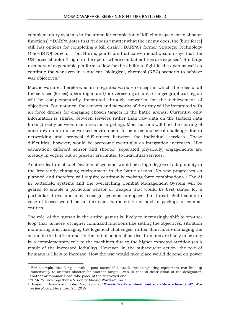complementary systems in the arena for completion of kill chains (sensor to shooter functions).<sup>6</sup> DARPA notes that "it doesn't matter what the enemy does, the [blue force] still has options for completing a kill chain". DARPA's former Strategic Technology Office (STO) Director, Tom Burns, points out that conventional wisdom says that the US forces shouldn't 'fight in the open - where combat entities are exposed'. But large numbers of expendable platforms allow for the ability to fight in the open as well as continue the war even in a nuclear, biological, chemical (NBC) scenario to achieve war objectives.<sup>7</sup>

Mosaic warfare, therefore, is an integrated warfare concept in which the roles of all the services (forces) operating in and/or overseeing an area or a geographical region will be complementarily integrated through networks for the achievement of objectives. For instance, the sensors and networks of the army will be integrated with air force drones for engaging chosen targets in the battle arenas. Currently, only information is shared between services rather than raw data on the tactical data links (directly between machines for targeting). Most nations will find the sharing of such raw data in a networked environment to be a technological challenge due to networking and protocol differences between the individual services. These difficulties, however, would be overcome eventually as integration increases. Like saturation, different sensor and shooter (separated physically) engagements are already in vogue, but at present are limited to individual services.

Another feature of such 'system of systems' would be a high degree of adaptability to the frequently changing environment in the battle arenas. No war progresses as planned and therefore will require continually evolving force combinations.<sup>8</sup> The AI in battlefield systems and the overarching Combat Management System will be geared to enable a particular sensor or weapon that would be best suited for a particular threat and may reassign systems to engage that threat. Self-healing in case of losses would be an intrinsic characteristic of such a package of combat entities.

The role of the human in the entire gamut is likely to increasingly shift to 'on-theloop' that is more of higher command functions like setting the objectives, situation monitoring and managing the logistical challenges rather than micro-managing the action in the battle arena. In the initial action of battles, humans are likely to be only in a complementary role to the machines due to the higher expected attrition (as a result of the increased lethality). However, in the subsequent action, the role of humans is likely to increase. How the war would take place would depend on power

1

<sup>6</sup> For example, attacking a tank – post successful attack the designating equipment can link up immediately to another shooter for another target. Even in case of destruction of the designator, another autonomous can take place of the destroyed one.

<sup>7</sup> "DARPA Tiles Together a Vision of Mosaic Warfare", no. 5.

<sup>8</sup> Benjamin Jensen and John Paschkewitz, **["Mosaic Warfare: Small and scalable are beautiful"](https://warontherocks.com/2019/12/mosaic-warfare-small-and-scalable-are-beautiful/)**, *War on the Rocks*, December 23, 2019.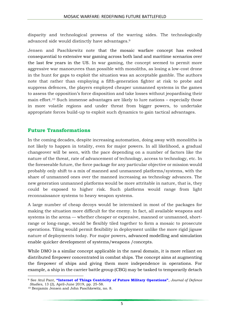disparity and technological prowess of the warring sides. The technologically advanced side would distinctly have advantages.<sup>9</sup>

Jensen and Paschkewitz note that the mosaic warfare concept has evolved consequential to extensive war gaming across both land and maritime scenarios over the last few years in the US. In war gaming, the concept seemed to permit more aggressive war manoeuvres than possible with monoliths, as losing a low-cost drone in the hunt for gaps to exploit the situation was an acceptable gamble. The authors note that rather than employing a fifth-generation fighter at risk to probe and suppress defences, the players employed cheaper unmanned systems in the games to assess the opposition's force disposition and take losses without jeopardising their main effort.<sup>10</sup> Such immense advantages are likely to lure nations – especially those in more volatile regions and under threat from bigger powers, to undertake appropriate forces build-up to exploit such dynamics to gain tactical advantages.

#### **Future Transformations**

In the coming decades, despite increasing automation, doing away with monoliths is not likely to happen in totality, even for major powers. In all likelihood, a gradual changeover will be seen, with the pace depending on a number of factors like the nature of the threat, rate of advancement of technology, access to technology, etc. In the foreseeable future, the force package for any particular objective or mission would probably only shift to a mix of manned and unmanned platforms/systems, with the share of unmanned ones over the manned increasing as technology advances. The new generation unmanned platforms would be more attritable in nature, that is, they could be exposed to higher risk. Such platforms would range from light reconnaissance systems to heavy weapon systems.

A large number of cheap decoys would be intermixed in most of the packages for making the situation more difficult for the enemy. In fact, all available weapons and systems in the arena — whether cheaper or expensive, manned or unmanned, shortrange or long-range, would be flexibly tiled together to form a mosaic to prosecute operations. Tiling would permit flexibility in deployment unlike the more rigid jigsaw nature of deployments today. For major powers, advanced modelling and simulation enable quicker development of systems/weapons /concepts.

While DMO is a similar concept applicable in the naval domain, it is more reliant on distributed firepower concentrated in combat ships. The concept aims at augmenting the firepower of ships and giving them more independence in operations. For example, a ship in the carrier battle group (CBG) may be tasked to temporarily detach

**<sup>.</sup>** <sup>9</sup> See Atul Pant, **["Internet of Things Centricity of Future Military Operations"](https://idsa.in/jds/jds-13-2-2019-future-military-operations)**, *Journal of Defence Studies*, 13 (2), April-June 2019, pp. 25-58.

<sup>10</sup> Benjamin Jensen and John Paschkewitz, no. 8.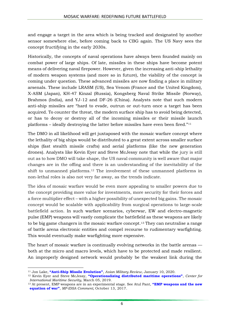and engage a target in the area which is being tracked and designated by another sensor somewhere else, before coming back to CBG again. The US Navy sees the concept fructifying in the early 2030s.

Historically, the concepts of naval operations have always been founded mainly on combat power of large ships. Of late, missiles in these ships have become potent means of delivering naval firepower. However, given the increasing anti-ship lethality of modern weapon systems (and more so in future), the viability of the concept is coming under question. These advanced missiles are now finding a place in military arsenals. These include LRASM (US), Sea Venom (France and the United Kingdom), X-ASM (Japan), KH-47 Kinzal (Russia), Kongsberg Naval Strike Missile (Norway), Brahmos (India), and YJ-12 and DF-26 (China). Analysts note that such modern anti-ship missiles are "hard to evade, outrun or out-turn once a target has been acquired. To counter the threat, the modern surface ship has to avoid being detected, or has to decoy or destroy all of the incoming missiles or their missile launch platforms – ideally destroying the latter before missiles have even been fired."<sup>11</sup>

The DMO in all likelihood will get juxtaposed with the mosaic warfare concept where the lethality of big ships would be distributed to a great extent across smaller surface ships (fast stealth missile crafts) and aerial platforms (like the new generation drones). Analysts like Kevin Eyer and Steve McJessy note that while the jury is still out as to how DMO will take shape, the US naval community is well aware that major changes are in the offing and there is an understanding of the inevitability of the shift to unmanned platforms.<sup>12</sup> The involvement of these unmanned platforms in non-lethal roles is also not very far away, as the trends indicate.

The idea of mosaic warfare would be even more appealing to smaller powers due to the concept providing more value for investments, more security for their forces and a force multiplier effect – with a higher possibility of unexpected big gains. The mosaic concept would be scalable with applicability from surgical operations to large-scale battlefield action. In such warfare scenarios, cyberwar, EW and electro-magnetic pulse (EMP) weapons will vastly complicate the battlefield as these weapons are likely to be big game changers in the mosaic warfare concept.<sup>13</sup> They can neutralise a range of battle arena electronic entities and compel recourse to rudimentary warfighting. This would eventually make warfighting more expensive.

The heart of mosaic warfare is continually evolving networks in the battle arenas both at the micro and macro levels, which have to be protected and made resilient. An improperly designed network would probably be the weakest link during the

<sup>1</sup> <sup>11</sup> Jon Lake, **"Anti-[Ship Missile Evolution"](https://asianmilitaryreview.com/2020/01/anti-ship-missile-evolution/)**, *Asian Military Review*, January 10, 2020.

<sup>12</sup> Kevin Eyer and Steve McJessy, **["Operationalizing distributed maritime operations"](http://cimsec.org/operationalizing-distributed-maritime-operations/39831)**, *Center for International Maritime Security*, March 05, 2019.

<sup>13</sup> At present, EMP weapons are in an experimental stage. See Atul Pant, **["EMP weapons and the new](https://idsa.in/idsacomments/emp-weapons-new-equation-of-war_apant_131017)  [equation of war"](https://idsa.in/idsacomments/emp-weapons-new-equation-of-war_apant_131017)**, *MP-IDSA Comment,* October 13, 2017.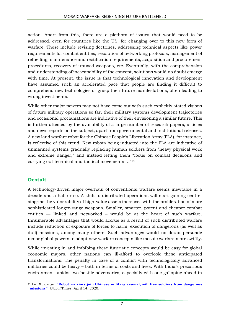action. Apart from this, there are a plethora of issues that would need to be addressed, even for countries like the US, for changing over to this new form of warfare. These include revising doctrines, addressing technical aspects like power requirements for combat entities, resolution of networking protocols, management of refuelling, maintenance and rectification requirements, acquisition and procurement procedures, recovery of unused weapons, etc. Eventually, with the comprehension and understanding of inescapability of the concept, solutions would no doubt emerge with time. At present, the issue is that technological innovation and development have assumed such an accelerated pace that people are finding it difficult to comprehend new technologies or grasp their future manifestations, often leading to wrong investments.

While other major powers may not have come out with such explicitly stated visions of future military operations so far, their military systems development trajectories and occasional proclamations are indicative of their envisioning a similar future. This is further attested by the availability of a large number of research papers, articles and news reports on the subject, apart from governmental and institutional releases. A new land warfare robot for the Chinese People's Liberation Army (PLA), for instance, is reflective of this trend. New robots being inducted into the PLA are indicative of unmanned systems gradually replacing human soldiers from "heavy physical work and extreme danger," and instead letting them "focus on combat decisions and carrying out technical and tactical movements …"<sup>14</sup>

### **Gestalt**

A technology-driven major overhaul of conventional warfare seems inevitable in a decade-and-a-half or so. A shift to distributed operations will start gaining centrestage as the vulnerability of high-value assets increases with the proliferation of more sophisticated longer-range weapons. Smaller, smarter, potent and cheaper combat entities — linked and networked – would be at the heart of such warfare. Innumerable advantages that would accrue as a result of such distributed warfare include reduction of exposure of forces to harm, execution of dangerous (as well as dull) missions, among many others. Such advantages would no doubt persuade major global powers to adopt new warfare concepts like mosaic warfare more swiftly.

While investing in and imbibing these futuristic concepts would be easy for global economic majors, other nations can ill-afford to overlook these anticipated transformations. The penalty in case of a conflict with technologically advanced militaries could be heavy – both in terms of costs and lives. With India's precarious environment amidst two hostile adversaries, especially with one galloping ahead in

**<sup>.</sup>** <sup>14</sup> Liu Xuanzun, **["Robot warriors join Chinese military arsenal, will free](https://www.globaltimes.cn/content/1185595.shtml) soldiers from dangerous [missions"](https://www.globaltimes.cn/content/1185595.shtml)**, *Global* Times, April 14, 2020.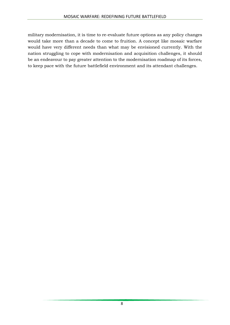military modernisation, it is time to re-evaluate future options as any policy changes would take more than a decade to come to fruition. A concept like mosaic warfare would have very different needs than what may be envisioned currently. With the nation struggling to cope with modernisation and acquisition challenges, it should be an endeavour to pay greater attention to the modernisation roadmap of its forces, to keep pace with the future battlefield environment and its attendant challenges.